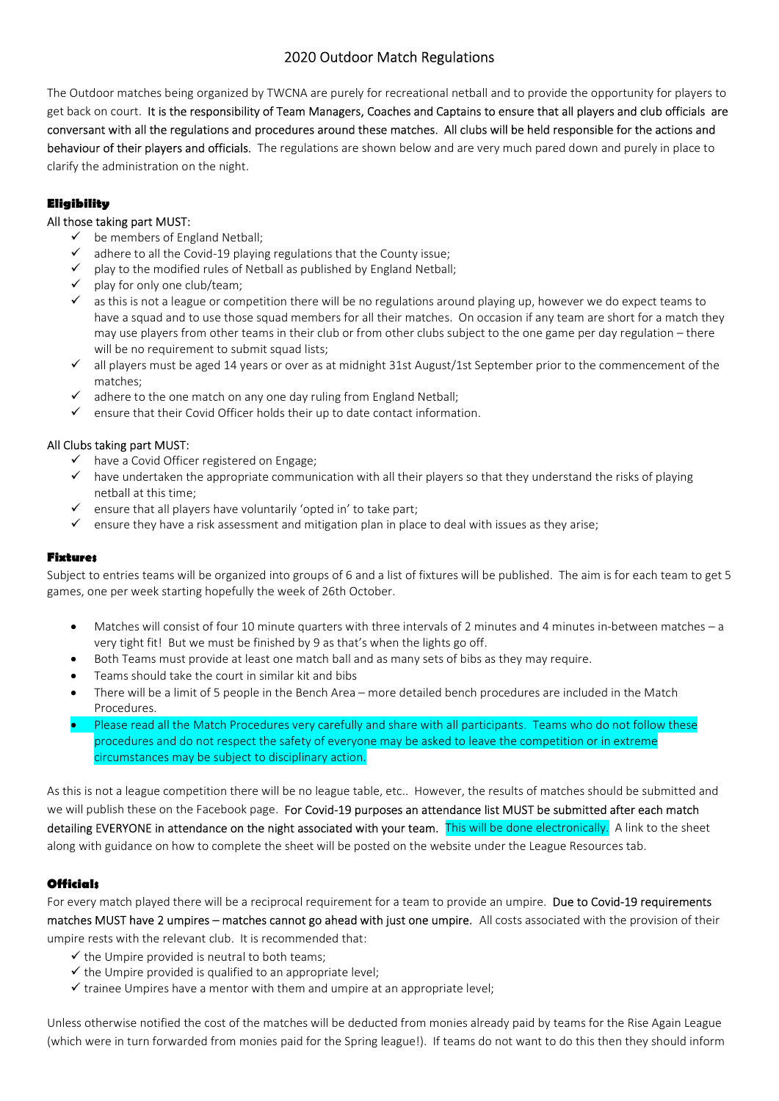# 2020 Outdoor Match Regulations

The Outdoor matches being organized by TWCNA are purely for recreational netball and to provide the opportunity for players to get back on court. It is the responsibility of Team Managers, Coaches and Captains to ensure that all players and club officials are conversant with all the regulations and procedures around these matches. All clubs will be held responsible for the actions and behaviour of their players and officials. The regulations are shown below and are very much pared down and purely in place to clarify the administration on the night.

### **Eligibility**

#### All those taking part MUST:

- $\checkmark$  be members of England Netball;
- $\checkmark$  adhere to all the Covid-19 playing regulations that the County issue:
- $\checkmark$  play to the modified rules of Netball as published by England Netball;<br> $\checkmark$  play for only one club/team:
- play for only one club/team;
- $\checkmark$  as this is not a league or competition there will be no regulations around playing up, however we do expect teams to have a squad and to use those squad members for all their matches. On occasion if any team are short for a match they may use players from other teams in their club or from other clubs subject to the one game per day regulation – there will be no requirement to submit squad lists;
- all players must be aged 14 years or over as at midnight 31st August/1st September prior to the commencement of the matches;
- $\checkmark$  adhere to the one match on any one day ruling from England Netball:
- $\checkmark$  ensure that their Covid Officer holds their up to date contact information.

## All Clubs taking part MUST:

- $\checkmark$  have a Covid Officer registered on Engage;
- $\checkmark$  have undertaken the appropriate communication with all their players so that they understand the risks of playing netball at this time;
- $\checkmark$  ensure that all players have voluntarily 'opted in' to take part;
- $\checkmark$  ensure they have a risk assessment and mitigation plan in place to deal with issues as they arise;

#### Fixtures

Subject to entries teams will be organized into groups of 6 and a list of fixtures will be published. The aim is for each team to get 5 games, one per week starting hopefully the week of 26th October.

- Matches will consist of four 10 minute quarters with three intervals of 2 minutes and 4 minutes in-between matches a very tight fit! But we must be finished by 9 as that's when the lights go off.
- Both Teams must provide at least one match ball and as many sets of bibs as they may require.
- Teams should take the court in similar kit and bibs
- There will be a limit of 5 people in the Bench Area more detailed bench procedures are included in the Match Procedures.
- Please read all the Match Procedures very carefully and share with all participants. Teams who do not follow these procedures and do not respect the safety of everyone may be asked to leave the competition or in extreme circumstances may be subject to disciplinary action.

As this is not a league competition there will be no league table, etc.. However, the results of matches should be submitted and we will publish these on the Facebook page. For Covid-19 purposes an attendance list MUST be submitted after each match detailing EVERYONE in attendance on the night associated with your team. This will be done electronically. A link to the sheet along with guidance on how to complete the sheet will be posted on the website under the League Resources tab.

## **Officials**

For every match played there will be a reciprocal requirement for a team to provide an umpire. Due to Covid-19 requirements matches MUST have 2 umpires – matches cannot go ahead with just one umpire. All costs associated with the provision of their umpire rests with the relevant club. It is recommended that:

- $\checkmark$  the Umpire provided is neutral to both teams;
- $\checkmark$  the Umpire provided is qualified to an appropriate level;
- $\checkmark$  trainee Umpires have a mentor with them and umpire at an appropriate level;

Unless otherwise notified the cost of the matches will be deducted from monies already paid by teams for the Rise Again League (which were in turn forwarded from monies paid for the Spring league!). If teams do not want to do this then they should inform